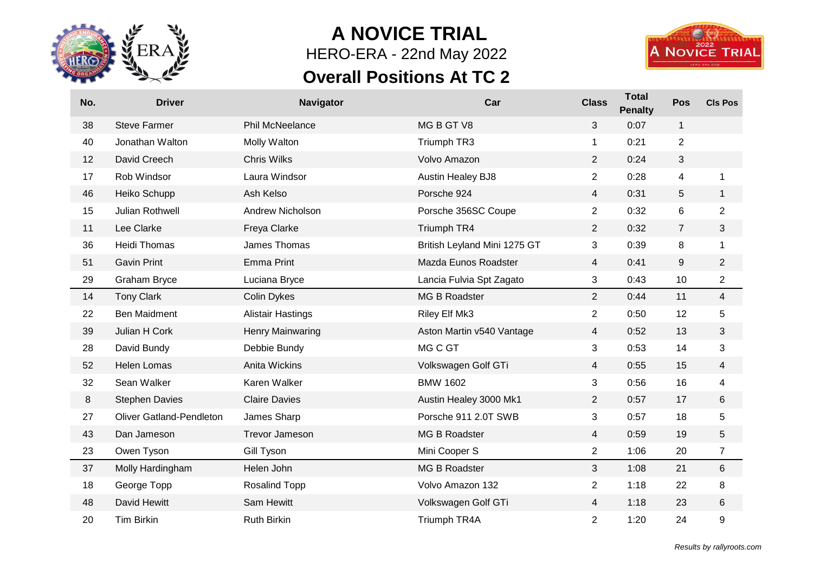

## **A NOVICE TRIAL** HERO-ERA - 22nd May 2022

## **Overall Positions At TC 2**



| No. | <b>Driver</b>                   | Navigator                | Car                          | <b>Class</b>   | <b>Total</b><br><b>Penalty</b> | Pos            | <b>CIs Pos</b>          |
|-----|---------------------------------|--------------------------|------------------------------|----------------|--------------------------------|----------------|-------------------------|
| 38  | <b>Steve Farmer</b>             | <b>Phil McNeelance</b>   | MG B GT V8                   | 3              | 0:07                           | $\mathbf{1}$   |                         |
| 40  | Jonathan Walton                 | Molly Walton             | Triumph TR3                  | 1              | 0:21                           | $\overline{2}$ |                         |
| 12  | David Creech                    | <b>Chris Wilks</b>       | Volvo Amazon                 | $\overline{2}$ | 0:24                           | 3              |                         |
| 17  | Rob Windsor                     | Laura Windsor            | <b>Austin Healey BJ8</b>     | $\overline{2}$ | 0:28                           | 4              | 1                       |
| 46  | Heiko Schupp                    | Ash Kelso                | Porsche 924                  | $\overline{4}$ | 0:31                           | 5              | $\mathbf{1}$            |
| 15  | Julian Rothwell                 | <b>Andrew Nicholson</b>  | Porsche 356SC Coupe          | $\overline{2}$ | 0:32                           | 6              | $\overline{2}$          |
| 11  | Lee Clarke                      | Freya Clarke             | Triumph TR4                  | $\overline{2}$ | 0:32                           | $\overline{7}$ | 3                       |
| 36  | <b>Heidi Thomas</b>             | James Thomas             | British Leyland Mini 1275 GT | 3              | 0:39                           | 8              | 1                       |
| 51  | <b>Gavin Print</b>              | <b>Emma Print</b>        | Mazda Eunos Roadster         | 4              | 0:41                           | 9              | $\overline{c}$          |
| 29  | Graham Bryce                    | Luciana Bryce            | Lancia Fulvia Spt Zagato     | 3              | 0:43                           | 10             | $\overline{\mathbf{c}}$ |
| 14  | <b>Tony Clark</b>               | <b>Colin Dykes</b>       | MG B Roadster                | $\overline{2}$ | 0:44                           | 11             | 4                       |
| 22  | <b>Ben Maidment</b>             | <b>Alistair Hastings</b> | Riley Elf Mk3                | $\overline{c}$ | 0:50                           | 12             | 5                       |
| 39  | Julian H Cork                   | Henry Mainwaring         | Aston Martin v540 Vantage    | 4              | 0:52                           | 13             | 3                       |
| 28  | David Bundy                     | Debbie Bundy             | MG C GT                      | 3              | 0:53                           | 14             | 3                       |
| 52  | <b>Helen Lomas</b>              | Anita Wickins            | Volkswagen Golf GTi          | 4              | 0:55                           | 15             | 4                       |
| 32  | Sean Walker                     | Karen Walker             | <b>BMW 1602</b>              | 3              | 0:56                           | 16             | 4                       |
| 8   | <b>Stephen Davies</b>           | <b>Claire Davies</b>     | Austin Healey 3000 Mk1       | $\overline{2}$ | 0:57                           | 17             | 6                       |
| 27  | <b>Oliver Gatland-Pendleton</b> | James Sharp              | Porsche 911 2.0T SWB         | 3              | 0:57                           | 18             | 5                       |
| 43  | Dan Jameson                     | <b>Trevor Jameson</b>    | MG B Roadster                | $\overline{4}$ | 0:59                           | 19             | 5                       |
| 23  | Owen Tyson                      | Gill Tyson               | Mini Cooper S                | $\overline{2}$ | 1:06                           | 20             | 7                       |
| 37  | Molly Hardingham                | Helen John               | MG B Roadster                | 3              | 1:08                           | 21             | 6                       |
| 18  | George Topp                     | <b>Rosalind Topp</b>     | Volvo Amazon 132             | $\overline{2}$ | 1:18                           | 22             | 8                       |
| 48  | David Hewitt                    | Sam Hewitt               | Volkswagen Golf GTi          | 4              | 1:18                           | 23             | 6                       |
| 20  | Tim Birkin                      | <b>Ruth Birkin</b>       | Triumph TR4A                 | $\overline{2}$ | 1:20                           | 24             | 9                       |